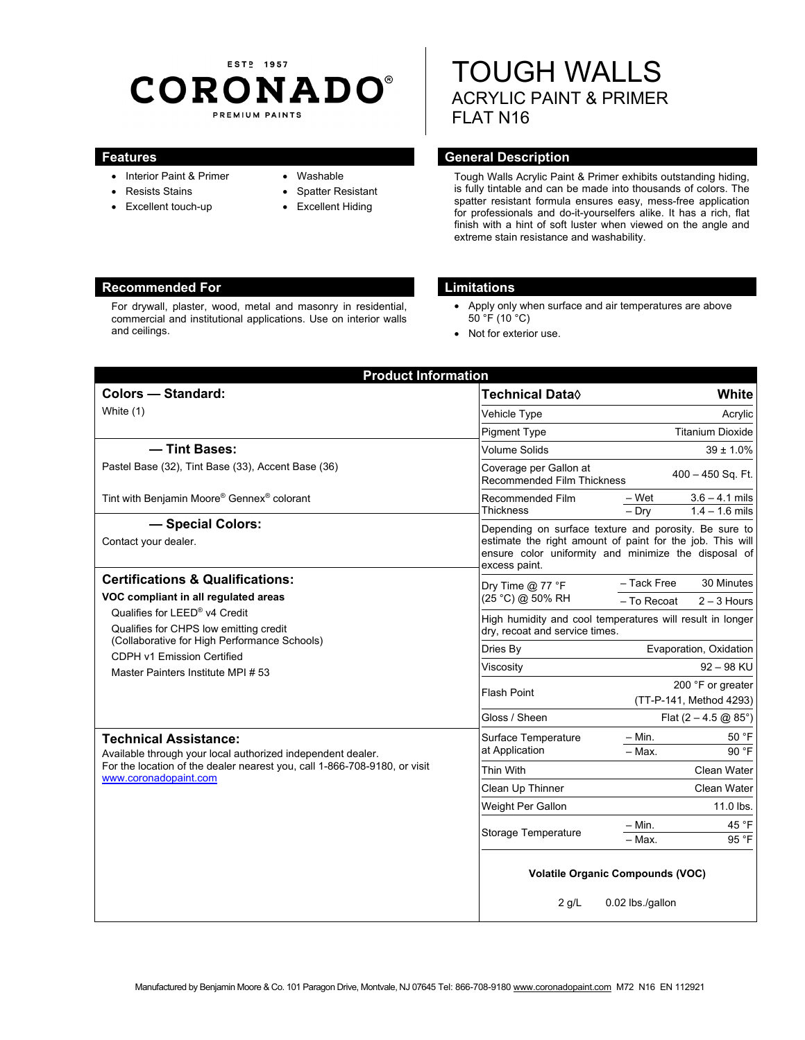# EST<sub>2</sub> 1957 **CORONADO®** PREMIUM PAINTS

- Interior Paint & Primer
- Resists Stains
- Excellent touch-up
- Washable
- Spatter Resistant
	- Excellent Hiding

# TOUGH WALLS ACRYLIC PAINT & PRIMER FLAT N16

## **Features General Description Ceneral Description**

Tough Walls Acrylic Paint & Primer exhibits outstanding hiding, is fully tintable and can be made into thousands of colors. The spatter resistant formula ensures easy, mess-free application for professionals and do-it-yourselfers alike. It has a rich, flat finish with a hint of soft luster when viewed on the angle and extreme stain resistance and washability.

### **Recommended For Limitations Recommended For**

For drywall, plaster, wood, metal and masonry in residential, commercial and institutional applications. Use on interior walls and ceilings.

- Apply only when surface and air temperatures are above 50 °F (10 °C)
- Not for exterior use.

| <b>Product Information</b>                                                                                                                                                                         |                                                             |                                                                                                                                                                            |
|----------------------------------------------------------------------------------------------------------------------------------------------------------------------------------------------------|-------------------------------------------------------------|----------------------------------------------------------------------------------------------------------------------------------------------------------------------------|
| <b>Colors - Standard:</b>                                                                                                                                                                          | <b>Technical Data</b> ♦                                     | White                                                                                                                                                                      |
| White (1)                                                                                                                                                                                          | Vehicle Type                                                | Acrylic                                                                                                                                                                    |
|                                                                                                                                                                                                    | <b>Pigment Type</b>                                         | <b>Titanium Dioxide</b>                                                                                                                                                    |
| - Tint Bases:                                                                                                                                                                                      | Volume Solids                                               | $39 \pm 1.0\%$                                                                                                                                                             |
| Pastel Base (32), Tint Base (33), Accent Base (36)                                                                                                                                                 | Coverage per Gallon at<br><b>Recommended Film Thickness</b> | $400 - 450$ Sq. Ft.                                                                                                                                                        |
| Tint with Benjamin Moore® Gennex® colorant                                                                                                                                                         | Recommended Film<br><b>Thickness</b>                        | – Wet<br>$3.6 - 4.1$ mils<br>$1.4 - 1.6$ mils<br>$-$ Dry                                                                                                                   |
| - Special Colors:<br>Contact your dealer.                                                                                                                                                          | excess paint.                                               | Depending on surface texture and porosity. Be sure to<br>estimate the right amount of paint for the job. This will<br>ensure color uniformity and minimize the disposal of |
| <b>Certifications &amp; Qualifications:</b>                                                                                                                                                        | Dry Time $@$ 77 °F<br>(25 °C) @ 50% RH                      | - Tack Free<br>30 Minutes                                                                                                                                                  |
| VOC compliant in all regulated areas                                                                                                                                                               |                                                             | - To Recoat<br>$2 - 3$ Hours                                                                                                                                               |
| Qualifies for LEED® v4 Credit<br>Qualifies for CHPS low emitting credit<br>(Collaborative for High Performance Schools)<br><b>CDPH v1 Emission Certified</b><br>Master Painters Institute MPI # 53 | dry, recoat and service times.                              | High humidity and cool temperatures will result in longer                                                                                                                  |
|                                                                                                                                                                                                    | Dries By                                                    | Evaporation, Oxidation                                                                                                                                                     |
|                                                                                                                                                                                                    | Viscosity                                                   | $92 - 98$ KU                                                                                                                                                               |
|                                                                                                                                                                                                    | <b>Flash Point</b>                                          | 200 °F or greater<br>(TT-P-141, Method 4293)                                                                                                                               |
|                                                                                                                                                                                                    | Gloss / Sheen                                               | Flat $(2 - 4.5 \text{ @ } 85^{\circ})$                                                                                                                                     |
| <b>Technical Assistance:</b><br>Available through your local authorized independent dealer.<br>For the location of the dealer nearest you, call 1-866-708-9180, or visit<br>www.coronadopaint.com  | Surface Temperature<br>at Application                       | 50 °F<br>– Min.<br>90 °F<br>- Max.                                                                                                                                         |
|                                                                                                                                                                                                    | Thin With                                                   | Clean Water                                                                                                                                                                |
|                                                                                                                                                                                                    | Clean Up Thinner                                            | Clean Water                                                                                                                                                                |
|                                                                                                                                                                                                    | Weight Per Gallon                                           | 11.0 lbs.                                                                                                                                                                  |
|                                                                                                                                                                                                    | Storage Temperature                                         | 45 °F<br>– Min.<br>95 °F<br>$-$ Max.                                                                                                                                       |
|                                                                                                                                                                                                    | <b>Volatile Organic Compounds (VOC)</b>                     |                                                                                                                                                                            |
|                                                                                                                                                                                                    | $2$ g/L                                                     | 0.02 lbs./gallon                                                                                                                                                           |